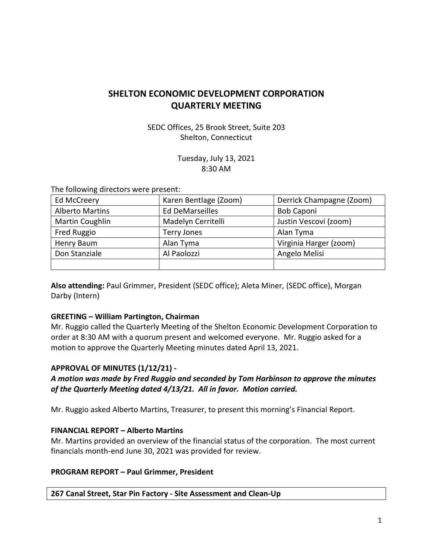# **SHELTON ECONOMIC DEVELOPMENT CORPORATION QUARTERLY MEETING**

SEDC Offices, 25 Brook Street, Suite 203 Shelton, Connecticut

> Tuesday, July 13, 2021 8:30 AM

The following directors were present:

| Ed McCreery            | Karen Bentlage (Zoom)  | Derrick Champagne (Zoom) |
|------------------------|------------------------|--------------------------|
| <b>Alberto Martins</b> | <b>Ed DeMarseilles</b> | <b>Bob Caponi</b>        |
| Martin Coughlin        | Madelyn Cerritelli     | Justin Vescovi (zoom)    |
| Fred Ruggio            | <b>Terry Jones</b>     | Alan Tyma                |
| Henry Baum             | Alan Tyma              | Virginia Harger (zoom)   |
| Don Stanziale          | Al Paolozzi            | Angelo Melisi            |
|                        |                        |                          |

**Also attending:** Paul Grimmer, President (SEDC office); Aleta Miner, (SEDC office), Morgan Darby (Intern)

# **GREETING – William Partington, Chairman**

Mr. Ruggio called the Quarterly Meeting of the Shelton Economic Development Corporation to order at 8:30 AM with a quorum present and welcomed everyone. Mr. Ruggio asked for a motion to approve the Quarterly Meeting minutes dated April 13, 2021.

# **APPROVAL OF MINUTES (1/12/21) -**

*A motion was made by Fred Ruggio and seconded by Tom Harbinson to approve the minutes of the Quarterly Meeting dated 4/13/21. All in favor. Motion carried.*

Mr. Ruggio asked Alberto Martins, Treasurer, to present this morning's Financial Report.

### **FINANCIAL REPORT – Alberto Martins**

Mr. Martins provided an overview of the financial status of the corporation. The most current financials month-end June 30, 2021 was provided for review.

### **PROGRAM REPORT – Paul Grimmer, President**

**267 Canal Street, Star Pin Factory - Site Assessment and Clean-Up**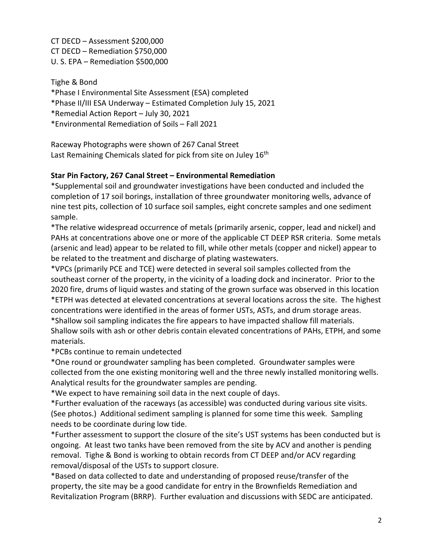CT DECD – Assessment \$200,000 CT DECD – Remediation \$750,000 U. S. EPA – Remediation \$500,000

Tighe & Bond \*Phase I Environmental Site Assessment (ESA) completed \*Phase II/III ESA Underway – Estimated Completion July 15, 2021 \*Remedial Action Report – July 30, 2021 \*Environmental Remediation of Soils – Fall 2021

Raceway Photographs were shown of 267 Canal Street Last Remaining Chemicals slated for pick from site on Juley 16<sup>th</sup>

# **Star Pin Factory, 267 Canal Street – Environmental Remediation**

\*Supplemental soil and groundwater investigations have been conducted and included the completion of 17 soil borings, installation of three groundwater monitoring wells, advance of nine test pits, collection of 10 surface soil samples, eight concrete samples and one sediment sample.

\*The relative widespread occurrence of metals (primarily arsenic, copper, lead and nickel) and PAHs at concentrations above one or more of the applicable CT DEEP RSR criteria. Some metals (arsenic and lead) appear to be related to fill, while other metals (copper and nickel) appear to be related to the treatment and discharge of plating wastewaters.

\*VPCs (primarily PCE and TCE) were detected in several soil samples collected from the southeast corner of the property, in the vicinity of a loading dock and incinerator. Prior to the 2020 fire, drums of liquid wastes and stating of the grown surface was observed in this location \*ETPH was detected at elevated concentrations at several locations across the site. The highest concentrations were identified in the areas of former USTs, ASTs, and drum storage areas. \*Shallow soil sampling indicates the fire appears to have impacted shallow fill materials. Shallow soils with ash or other debris contain elevated concentrations of PAHs, ETPH, and some

materials. \*PCBs continue to remain undetected

\*One round or groundwater sampling has been completed. Groundwater samples were collected from the one existing monitoring well and the three newly installed monitoring wells. Analytical results for the groundwater samples are pending.

\*We expect to have remaining soil data in the next couple of days.

\*Further evaluation of the raceways (as accessible) was conducted during various site visits. (See photos.) Additional sediment sampling is planned for some time this week. Sampling needs to be coordinate during low tide.

\*Further assessment to support the closure of the site's UST systems has been conducted but is ongoing. At least two tanks have been removed from the site by ACV and another is pending removal. Tighe & Bond is working to obtain records from CT DEEP and/or ACV regarding removal/disposal of the USTs to support closure.

\*Based on data collected to date and understanding of proposed reuse/transfer of the property, the site may be a good candidate for entry in the Brownfields Remediation and Revitalization Program (BRRP). Further evaluation and discussions with SEDC are anticipated.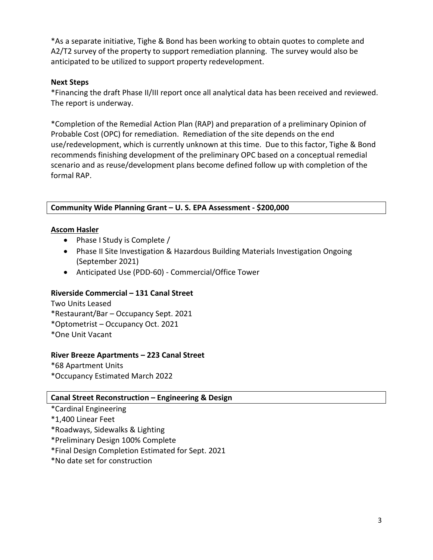\*As a separate initiative, Tighe & Bond has been working to obtain quotes to complete and A2/T2 survey of the property to support remediation planning. The survey would also be anticipated to be utilized to support property redevelopment.

### **Next Steps**

\*Financing the draft Phase II/III report once all analytical data has been received and reviewed. The report is underway.

\*Completion of the Remedial Action Plan (RAP) and preparation of a preliminary Opinion of Probable Cost (OPC) for remediation. Remediation of the site depends on the end use/redevelopment, which is currently unknown at this time. Due to this factor, Tighe & Bond recommends finishing development of the preliminary OPC based on a conceptual remedial scenario and as reuse/development plans become defined follow up with completion of the formal RAP.

### **Community Wide Planning Grant – U. S. EPA Assessment - \$200,000**

### **Ascom Hasler**

- Phase I Study is Complete /
- Phase II Site Investigation & Hazardous Building Materials Investigation Ongoing (September 2021)
- Anticipated Use (PDD-60) Commercial/Office Tower

# **Riverside Commercial – 131 Canal Street**

Two Units Leased \*Restaurant/Bar – Occupancy Sept. 2021 \*Optometrist – Occupancy Oct. 2021 \*One Unit Vacant

### **River Breeze Apartments – 223 Canal Street**

\*68 Apartment Units \*Occupancy Estimated March 2022

### **Canal Street Reconstruction – Engineering & Design**

- \*Cardinal Engineering
- \*1,400 Linear Feet
- \*Roadways, Sidewalks & Lighting
- \*Preliminary Design 100% Complete
- \*Final Design Completion Estimated for Sept. 2021
- \*No date set for construction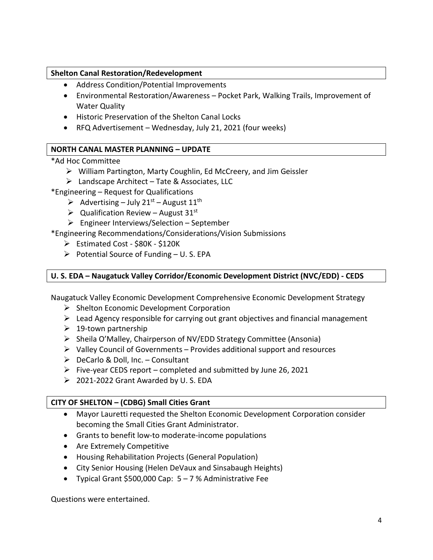### **Shelton Canal Restoration/Redevelopment**

- Address Condition/Potential Improvements
- Environmental Restoration/Awareness Pocket Park, Walking Trails, Improvement of Water Quality
- Historic Preservation of the Shelton Canal Locks
- RFQ Advertisement Wednesday, July 21, 2021 (four weeks)

# **NORTH CANAL MASTER PLANNING – UPDATE**

### \*Ad Hoc Committee

- William Partington, Marty Coughlin, Ed McCreery, and Jim Geissler
- $\triangleright$  Landscape Architect Tate & Associates, LLC

\*Engineering – Request for Qualifications

- Advertising July 21<sup>st</sup> August 11<sup>th</sup>
- $\triangleright$  Qualification Review August 31<sup>st</sup>
- Engineer Interviews/Selection September

\*Engineering Recommendations/Considerations/Vision Submissions

- Estimated Cost \$80K \$120K
- $\triangleright$  Potential Source of Funding U.S. EPA

### **U. S. EDA – Naugatuck Valley Corridor/Economic Development District (NVC/EDD) - CEDS**

Naugatuck Valley Economic Development Comprehensive Economic Development Strategy

- $\triangleright$  Shelton Economic Development Corporation
- $\triangleright$  Lead Agency responsible for carrying out grant objectives and financial management
- $\geq 19$ -town partnership
- $\triangleright$  Sheila O'Malley, Chairperson of NV/EDD Strategy Committee (Ansonia)
- $\triangleright$  Valley Council of Governments Provides additional support and resources
- $\triangleright$  DeCarlo & Doll, Inc. Consultant
- $\triangleright$  Five-year CEDS report completed and submitted by June 26, 2021
- 2021-2022 Grant Awarded by U. S. EDA

### **CITY OF SHELTON – (CDBG) Small Cities Grant**

- Mayor Lauretti requested the Shelton Economic Development Corporation consider becoming the Small Cities Grant Administrator.
- Grants to benefit low-to moderate-income populations
- Are Extremely Competitive
- Housing Rehabilitation Projects (General Population)
- City Senior Housing (Helen DeVaux and Sinsabaugh Heights)
- Typical Grant \$500,000 Cap: 5 7 % Administrative Fee

Questions were entertained.